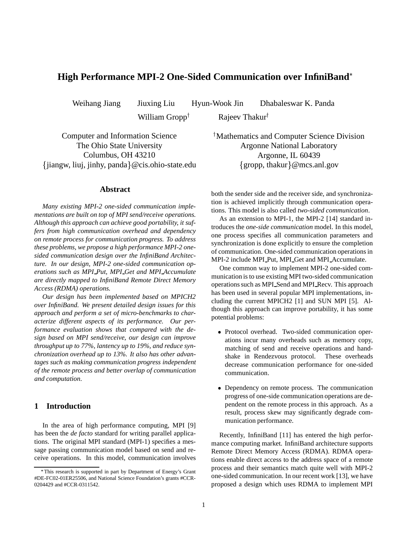# **High Performance MPI-2 One-Sided Communication over InfiniBand**

William Gropp<sup>†</sup>

Weihang Jiang Jiuxing Liu Hyun-Wook Jin Dhabaleswar K. Panda

Rajeev Thakur

Computer and Information Science The Ohio State University Columbus, OH 43210 - jiangw, liuj, jinhy, panda @cis.ohio-state.edu

### **Abstract**

*Many existing MPI-2 one-sided communication implementations are built on top of MPI send/receive operations. Although this approach can achieve good portability, it suffers from high communication overhead and dependency on remote process for communication progress. To address these problems, we propose a high performance MPI-2 onesided communication design over the InfiniBand Architecture. In our design, MPI-2 one-sided communication operations such as MPI Put, MPI Get and MPI Accumulate are directly mapped to InfiniBand Remote Direct Memory Access (RDMA) operations.*

*Our design has been implemented based on MPICH2 over InfiniBand. We present detailed design issues for this approach and perform a set of micro-benchmarks to characterize different aspects of its performance. Our performance evaluation shows that compared with the design based on MPI send/receive, our design can improve throughput up to 77%, lantency up to 19%, and reduce synchronization overhead up to 13%. It also has other advantages such as making communication progress independent of the remote process and better overlap of communication and computation.*

## **1 Introduction**

In the area of high performance computing, MPI [9] has been the *de facto* standard for writing parallel applications. The original MPI standard (MPI-1) specifies a message passing communication model based on send and receive operations. In this model, communication involves  Mathematics and Computer Science Division Argonne National Laboratory Argonne, IL 60439 {gropp, thakur}@mcs.anl.gov

both the sender side and the receiver side, and synchronization is achieved implicitly through communication operations. This model is also called *two-sided communication*.

As an extension to MPI-1, the MPI-2 [14] standard introduces the *one-side communication* model. In this model, one process specifies all communication parameters and synchronization is done explicitly to ensure the completion of communication. One-sided communication operationsin MPI-2 include MPI Put, MPI Get and MPI Accumulate.

One common way to implement MPI-2 one-sided communication is to use existing MPI two-sided communication operationssuch as MPI Send and MPI Recv. This approach has been used in several popular MPI implementations, including the current MPICH2 [1] and SUN MPI [5]. Although this approach can improve portability, it has some potential problems:

- Protocol overhead. Two-sided communication operations incur many overheads such as memory copy, matching of send and receive operations and handshake in Rendezvous protocol. These overheads decrease communication performance for one-sided communication.
- Dependency on remote process. The communication progress of one-side communication operations are dependent on the remote process in this approach. As a result, process skew may significantly degrade communication performance.

Recently, InfiniBand [11] has entered the high performance computing market. InfiniBand architecture supports Remote Direct Memory Access (RDMA). RDMA operations enable direct access to the address space of a remote process and their semantics match quite well with MPI-2 one-sided communication. In our recent work [13], we have proposed a design which uses RDMA to implement MPI

This research is supported in part by Department of Energy's Grant #DE-FC02-01ER25506, and National Science Foundation's grants #CCR-0204429 and #CCR-0311542.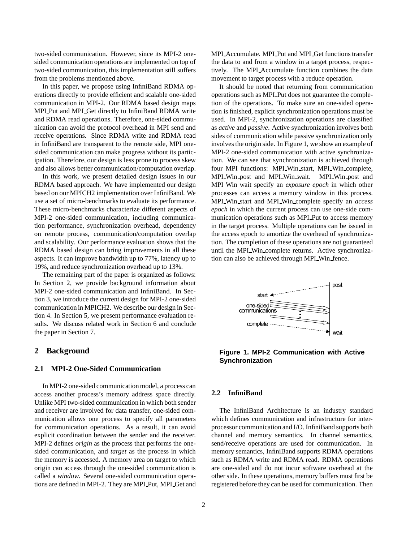two-sided communication. However, since its MPI-2 onesided communication operations are implemented on top of two-sided communication, this implementation still suffers from the problems mentioned above.

In this paper, we propose using InfiniBand RDMA operations directly to provide efficient and scalable one-sided communication in MPI-2. Our RDMA based design maps MPI Put and MPI Get directly to InfiniBand RDMA write and RDMA read operations. Therefore, one-sided communication can avoid the protocol overhead in MPI send and receive operations. Since RDMA write and RDMA read in InfiniBand are transparent to the remote side, MPI onesided communication can make progress without its participation. Therefore, our design is less prone to process skew and also allows better communication/computation overlap.

In this work, we present detailed design issues in our RDMA based approach. We have implemented our design based on our MPICH2 implementation over InfiniBand. We use a set of micro-benchmarks to evaluate its performance. These micro-benchmarks characterize different aspects of MPI-2 one-sided communication, including communication performance, synchronization overhead, dependency on remote process, communication/computation overlap and scalability. Our performance evaluation shows that the RDMA based design can bring improvements in all these aspects. It can improve bandwidth up to 77%, latency up to 19%, and reduce synchronization overhead up to 13%.

The remaining part of the paper is organized as follows: In Section 2, we provide background information about MPI-2 one-sided communication and InfiniBand. In Section 3, we introduce the current design for MPI-2 one-sided communication in MPICH2. We describe our design in Section 4. In Section 5, we present performance evaluation results. We discuss related work in Section 6 and conclude the paper in Section 7.

### **2 Background**

### **2.1 MPI-2 One-Sided Communication**

In MPI-2 one-sided communication model, a process can access another process's memory address space directly. Unlike MPI two-sided communication in which both sender and receiver are involved for data transfer, one-sided communication allows one process to specify all parameters for communication operations. As a result, it can avoid explicit coordination between the sender and the receiver. MPI-2 defines *origin* as the process that performs the onesided communication, and *target* as the process in which the memory is accessed. A memory area on target to which origin can access through the one-sided communication is called a *window*. Several one-sided communication operations are defined in MPI-2. They are MPI Put, MPI Get and

MPI\_Accumulate. MPI\_Put and MPI\_Get functions transfer the data to and from a window in a target process, respectively. The MPI Accumulate function combines the data movement to target process with a reduce operation.

It should be noted that returning from communication operations such as MPI Put does not guarantee the completion of the operations. To make sure an one-sided operation is finished, explicit synchronization operations must be used. In MPI-2, synchronization operations are classified as *active* and *passive*. Active synchronization involves both sides of communication while passive synchronization only involves the origin side. In Figure 1, we show an example of MPI-2 one-sided communication with active synchronization. We can see that synchronization is achieved through four MPI functions: MPI Win start, MPI Win complete, MPI Win post and MPI Win wait. MPI Win post and MPI Win wait specify an *exposure epoch* in which other processes can access a memory window in this process. MPI Win start and MPI Win complete specify an *access epoch* in which the current process can use one-side communication operations such as MPI Put to access memory in the target process. Multiple operations can be issued in the access epoch to amortize the overhead of synchronization. The completion of these operations are not guaranteed until the MPI Win complete returns. Active synchronization can also be achieved through MPI Win fence.



**Figure 1. MPI-2 Communication with Active Synchronization**

#### **2.2 InfiniBand**

The InfiniBand Architecture is an industry standard which defines communication and infrastructure for interprocessor communication and I/O. InfiniBand supports both channel and memory semantics. In channel semantics, send/receive operations are used for communication. In memory semantics, InfiniBand supports RDMA operations such as RDMA write and RDMA read. RDMA operations are one-sided and do not incur software overhead at the other side. In these operations, memory buffers must first be registered before they can be used for communication. Then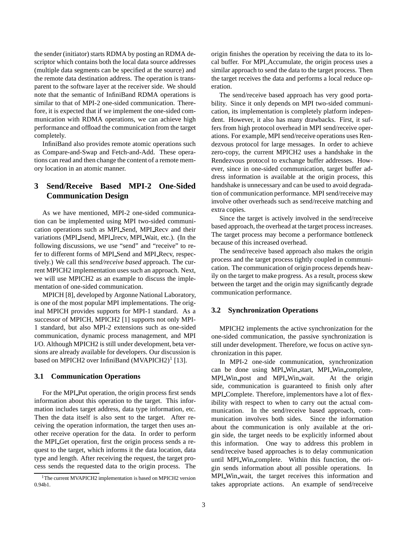the sender (initiator) starts RDMA by posting an RDMA descriptor which contains both the local data source addresses (multiple data segments can be specified at the source) and the remote data destination address. The operation is transparent to the software layer at the receiver side. We should note that the semantic of InfiniBand RDMA operations is similar to that of MPI-2 one-sided communication. Therefore, it is expected that if we implement the one-sided communication with RDMA operations, we can achieve high performance and offload the communication from the target completely.

InfiniBand also provides remote atomic operations such as Compare-and-Swap and Fetch-and-Add. These operations can read and then change the content of a remote memory location in an atomic manner.

## **3 Send/Receive Based MPI-2 One-Sided Communication Design**

As we have mentioned, MPI-2 one-sided communication can be implemented using MPI two-sided communication operations such as MPI Send, MPI Recv and their variations (MPI Isend, MPI Irecv, MPI Wait, etc.). (In the following discussions, we use "send" and "receive" to refer to different forms of MPI Send and MPI Recv, respectively.) We call this *send/receive based* approach. The current MPICH2 implementation uses such an approach. Next, we will use MPICH2 as an example to discuss the implementation of one-sided communication.

MPICH [8], developed by Argonne National Laboratory, is one of the most popular MPI implementations. The original MPICH provides supports for MPI-1 standard. As a successor of MPICH, MPICH2 [1] supports not only MPI-1 standard, but also MPI-2 extensions such as one-sided communication, dynamic process management, and MPI I/O. Although MPICH2 is still under development, beta versions are already available for developers. Our discussion is based on MPICH2 over InfiniBand (MVAPICH2)<sup>1</sup> [13].

### **3.1 Communication Operations**

For the MPI Put operation, the origin process first sends information about this operation to the target. This information includes target address, data type information, etc. Then the data itself is also sent to the target. After receiving the operation information, the target then uses another receive operation for the data. In order to perform the MPI Get operation, first the origin process sends a request to the target, which informs it the data location, data type and length. After receiving the request, the target process sends the requested data to the origin process. The

origin finishes the operation by receiving the data to its local buffer. For MPI Accumulate, the origin process uses a similar approach to send the data to the target process. Then the target receives the data and performs a local reduce operation.

The send/receive based approach has very good portability. Since it only depends on MPI two-sided communication, its implementation is completely platform independent. However, it also has many drawbacks. First, it suffers from high protocol overhead in MPI send/receive operations. For example, MPI send/receive operations uses Rendezvous protocol for large messages. In order to achieve zero-copy, the current MPICH2 uses a handshake in the Rendezvous protocol to exchange buffer addresses. However, since in one-sided communication, target buffer address information is available at the origin process, this handshake is unnecessary and can be used to avoid degradation of communication performance. MPI send/receive may involve other overheads such as send/receive matching and extra copies.

Since the target is actively involved in the send/receive based approach, the overhead at the target processincreases. The target process may become a performance bottleneck because of this increased overhead.

The send/receive based approach also makes the origin process and the target process tightly coupled in communication. The communication of origin process depends heavily on the target to make progress. As a result, process skew between the target and the origin may significantly degrade communication performance.

#### **3.2 Synchronization Operations**

MPICH2 implements the active synchronization for the one-sided communication, the passive synchronization is still under development. Therefore, we focus on active synchronization in this paper.

In MPI-2 one-side communication, synchronization can be done using MPI Win start, MPI Win complete, MPI Win post and MPI Win wait. At the origin side, communication is guaranteed to finish only after MPI Complete. Therefore, implementors have a lot of flexibility with respect to when to carry out the actual communication. In the send/receive based approach, communication involves both sides. Since the information about the communication is only available at the origin side, the target needs to be explicitly informed about this information. One way to address this problem in send/receive based approaches is to delay communication until MPI Win complete. Within this function, the origin sends information about all possible operations. In MPI Win wait, the target receives this information and takes appropriate actions. An example of send/receive

<sup>&</sup>lt;sup>1</sup>The current MVAPICH2 implementation is based on MPICH2 version 0.94b1.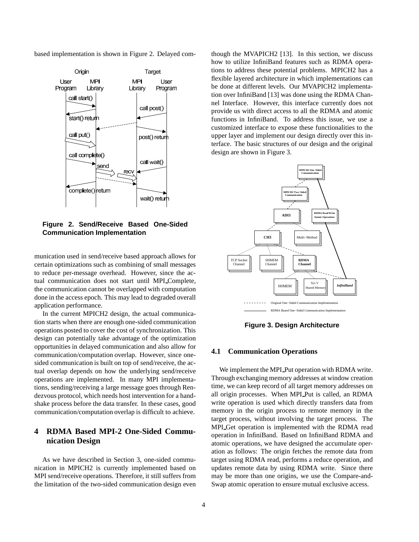based implementation is shown in Figure 2. Delayed com-



**Figure 2. Send/Receive Based One-Sided Communication Implementation**

munication used in send/receive based approach allows for certain optimizations such as combining of small messages to reduce per-message overhead. However, since the actual communication does not start until MPI Complete, the communication cannot be overlapped with computation done in the access epoch. This may lead to degraded overall application performance.

In the current MPICH2 design, the actual communication starts when there are enough one-sided communication operations posted to cover the cost of synchronization. This design can potentially take advantage of the optimization opportunities in delayed communication and also allow for communication/computation overlap. However, since onesided communication is built on top of send/receive, the actual overlap depends on how the underlying send/receive operations are implemented. In many MPI implementations, sending/receiving a large message goes through Rendezvous protocol, which needs host intervention for a handshake process before the data transfer. In these cases, good communication/computation overlap is difficult to achieve.

## **4 RDMA Based MPI-2 One-Sided Communication Design**

As we have described in Section 3, one-sided communication in MPICH2 is currently implemented based on MPI send/receive operations. Therefore, it still suffers from the limitation of the two-sided communication design even

though the MVAPICH2 [13]. In this section, we discuss how to utilize InfiniBand features such as RDMA operations to address these potential problems. MPICH2 has a flexible layered architecture in which implementations can be done at different levels. Our MVAPICH2 implementation over InfiniBand [13] was done using the RDMA Channel Interface. However, this interface currently does not provide us with direct access to all the RDMA and atomic functions in InfiniBand. To address this issue, we use a customized interface to expose these functionalities to the upper layer and implement our design directly over this interface. The basic structures of our design and the original design are shown in Figure 3.



**Figure 3. Design Architecture**

### **4.1 Communication Operations**

We implement the MPI Put operation with RDMA write. Through exchanging memory addresses at window creation time, we can keep record of all target memory addresses on all origin processes. When MPI Put is called, an RDMA write operation is used which directly transfers data from memory in the origin process to remote memory in the target process, without involving the target process. The MPI Get operation is implemented with the RDMA read operation in InfiniBand. Based on InfiniBand RDMA and atomic operations, we have designed the accumulate operation as follows: The origin fetches the remote data from target using RDMA read, performs a reduce operation, and updates remote data by using RDMA write. Since there may be more than one origins, we use the Compare-and-Swap atomic operation to ensure mutual exclusive access.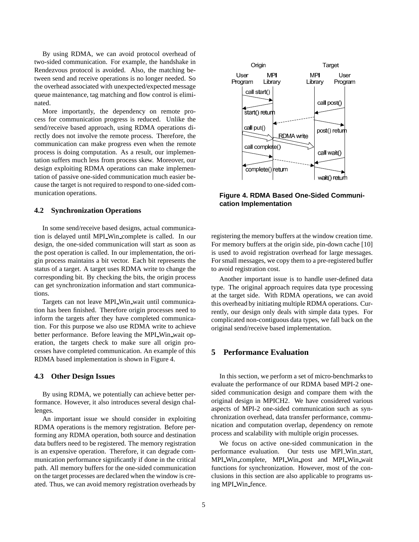By using RDMA, we can avoid protocol overhead of two-sided communication. For example, the handshake in Rendezvous protocol is avoided. Also, the matching between send and receive operations is no longer needed. So the overhead associated with unexpected/expected message queue maintenance, tag matching and flow control is eliminated.

More importantly, the dependency on remote process for communication progress is reduced. Unlike the send/receive based approach, using RDMA operations directly does not involve the remote process. Therefore, the communication can make progress even when the remote process is doing computation. As a result, our implementation suffers much less from process skew. Moreover, our design exploiting RDMA operations can make implementation of passive one-sided communication much easier because the target is not required to respond to one-sided communication operations.

#### **4.2 Synchronization Operations**

In some send/receive based designs, actual communication is delayed until MPI Win complete is called. In our design, the one-sided communication will start as soon as the post operation is called. In our implementation, the origin process maintains a bit vector. Each bit represents the status of a target. A target uses RDMA write to change the corresponding bit. By checking the bits, the origin process can get synchronization information and start communications.

Targets can not leave MPI Win wait until communication has been finished. Therefore origin processes need to inform the targets after they have completed communication. For this purpose we also use RDMA write to achieve better performance. Before leaving the MPI Win wait operation, the targets check to make sure all origin processes have completed communication. An example of this RDMA based implementation is shown in Figure 4.

### **4.3 Other Design Issues**

By using RDMA, we potentially can achieve better performance. However, it also introduces several design challenges.

An important issue we should consider in exploiting RDMA operations is the memory registration. Before performing any RDMA operation, both source and destination data buffers need to be registered. The memory registration is an expensive operation. Therefore, it can degrade communication performance significantly if done in the critical path. All memory buffers for the one-sided communication on the target processes are declared when the window is created. Thus, we can avoid memory registration overheads by



**Figure 4. RDMA Based One-Sided Communication Implementation**

registering the memory buffers at the window creation time. For memory buffers at the origin side, pin-down cache [10] is used to avoid registration overhead for large messages. For small messages, we copy them to a pre-registered buffer to avoid registration cost.

Another important issue is to handle user-defined data type. The original approach requires data type processing at the target side. With RDMA operations, we can avoid this overhead by initiating multiple RDMA operations. Currently, our design only deals with simple data types. For complicated non-contiguous data types, we fall back on the original send/receive based implementation.

### **5 Performance Evaluation**

In this section, we perform a set of micro-benchmarks to evaluate the performance of our RDMA based MPI-2 onesided communication design and compare them with the original design in MPICH2. We have considered various aspects of MPI-2 one-sided communication such as synchronization overhead, data transfer performance, communication and computation overlap, dependency on remote process and scalability with multiple origin processes.

We focus on active one-sided communication in the performance evaluation. Our tests use MPI Win start, MPI Win complete, MPI Win post and MPI Win wait functions for synchronization. However, most of the conclusions in this section are also applicable to programs using MPI Win fence.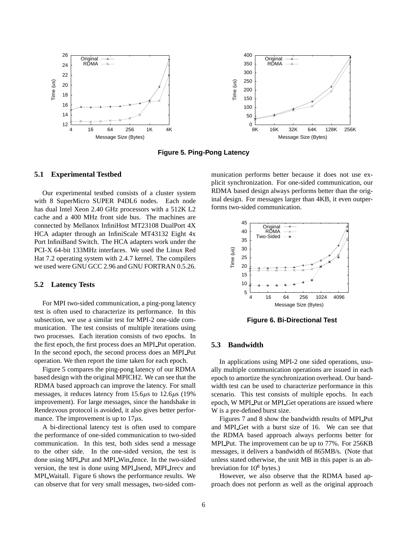

**Figure 5. Ping-Pong Latency**

### **5.1 Experimental Testbed**

Our experimental testbed consists of a cluster system with 8 SuperMicro SUPER P4DL6 nodes. Each node has dual Intel Xeon 2.40 GHz processors with a 512K L2 cache and a 400 MHz front side bus. The machines are connected by Mellanox InfiniHost MT23108 DualPort 4X HCA adapter through an InfiniScale MT43132 Eight 4x Port InfiniBand Switch. The HCA adapters work under the PCI-X 64-bit 133MHz interfaces. We used the Linux Red Hat 7.2 operating system with 2.4.7 kernel. The compilers we used were GNU GCC 2.96 and GNU FORTRAN 0.5.26.

### **5.2 Latency Tests**

For MPI two-sided communication, a ping-pong latency test is often used to characterize its performance. In this subsection, we use a similar test for MPI-2 one-side communication. The test consists of multiple iterations using two processes. Each iteration consists of two epochs. In the first epoch, the first process does an MPI Put operation. In the second epoch, the second process does an MPI Put operation. We then report the time taken for each epoch.

Figure 5 compares the ping-pong latency of our RDMA based design with the original MPICH2. We can see that the RDMA based approach can improve the latency. For small messages, it reduces latency from  $15.6\mu s$  to  $12.6\mu s$  (19%) improvement). For large messages, since the handshake in Rendezvous protocol is avoided, it also gives better performance. The improvement is up to  $17\mu$ s.

A bi-directional latency test is often used to compare the performance of one-sided communication to two-sided communication. In this test, both sides send a message to the other side. In the one-sided version, the test is done using MPI Put and MPI Win fence. In the two-sided version, the test is done using MPI Isend, MPI Irecv and MPI Waitall. Figure 6 shows the performance results. We can observe that for very small messages, two-sided communication performs better because it does not use explicit synchronization. For one-sided communication, our RDMA based design always performs better than the original design. For messages larger than 4KB, it even outperforms two-sided communication.



**Figure 6. Bi-Directional Test**

#### **5.3 Bandwidth**

In applications using MPI-2 one sided operations, usually multiple communication operations are issued in each epoch to amortize the synchronization overhead. Our bandwidth test can be used to characterize performance in this scenario. This test consists of multiple epochs. In each epoch, W MPI Put or MPI Get operations are issued where W is a pre-defined burst size.

Figures 7 and 8 show the bandwidth results of MPI Put and MPI Get with a burst size of 16. We can see that the RDMA based approach always performs better for MPI Put. The improvement can be up to 77%. For 256KB messages, it delivers a bandwidth of 865MB/s. (Note that unless stated otherwise, the unit MB in this paper is an abbreviation for  $10^6$  bytes.)

However, we also observe that the RDMA based approach does not perform as well as the original approach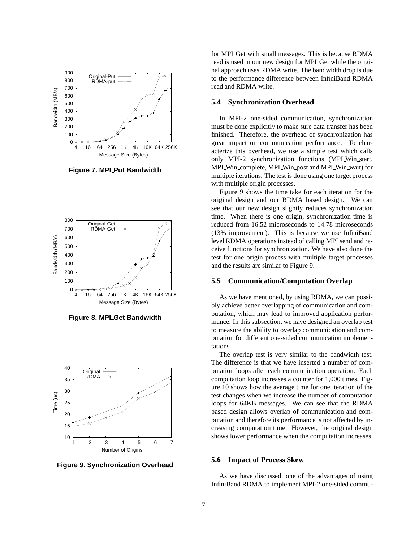

**Figure 7. MPI Put Bandwidth**



**Figure 8. MPI Get Bandwidth**



**Figure 9. Synchronization Overhead**

for MPI Get with small messages. This is because RDMA read is used in our new design for MPI Get while the original approach uses RDMA write. The bandwidth drop is due to the performance difference between InfiniBand RDMA read and RDMA write.

#### **5.4 Synchronization Overhead**

In MPI-2 one-sided communication, synchronization must be done explicitly to make sure data transfer has been finished. Therefore, the overhead of synchronization has great impact on communication performance. To characterize this overhead, we use a simple test which calls only MPI-2 synchronization functions (MPI Win start, MPI Win complete, MPI Win post and MPI Win wait) for multiple iterations. The test is done using one target process with multiple origin processes.

Figure 9 shows the time take for each iteration for the original design and our RDMA based design. We can see that our new design slightly reduces synchronization time. When there is one origin, synchronization time is reduced from 16.52 microseconds to 14.78 microseconds (13% improvement). This is because we use InfiniBand level RDMA operations instead of calling MPI send and receive functions for synchronization. We have also done the test for one origin process with multiple target processes and the results are similar to Figure 9.

#### **5.5 Communication/Computation Overlap**

As we have mentioned, by using RDMA, we can possibly achieve better overlapping of communication and computation, which may lead to improved application performance. In this subsection, we have designed an overlap test to measure the ability to overlap communication and computation for different one-sided communication implementations.

The overlap test is very similar to the bandwidth test. The difference is that we have inserted a number of computation loops after each communication operation. Each computation loop increases a counter for 1,000 times. Figure 10 shows how the average time for one iteration of the test changes when we increase the number of computation loops for 64KB messages. We can see that the RDMA based design allows overlap of communication and computation and therefore its performance is not affected by increasing computation time. However, the original design shows lower performance when the computation increases.

#### **5.6 Impact of Process Skew**

As we have discussed, one of the advantages of using InfiniBand RDMA to implement MPI-2 one-sided commu-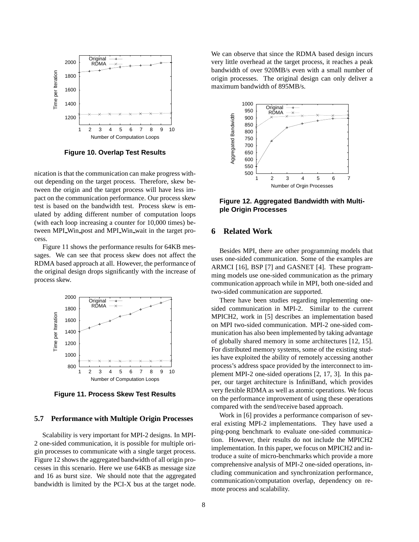

**Figure 10. Overlap Test Results**

nication is that the communication can make progress without depending on the target process. Therefore, skew between the origin and the target process will have less impact on the communication performance. Our process skew test is based on the bandwidth test. Process skew is emulated by adding different number of computation loops (with each loop increasing a counter for 10,000 times) between MPI Win post and MPI Win wait in the target process.

Figure 11 shows the performance results for 64KB messages. We can see that process skew does not affect the RDMA based approach at all. However, the performance of the original design drops significantly with the increase of process skew.



**Figure 11. Process Skew Test Results**

#### **5.7 Performance with Multiple Origin Processes**

Scalability is very important for MPI-2 designs. In MPI-2 one-sided communication, it is possible for multiple origin processes to communicate with a single target process. Figure 12 shows the aggregated bandwidth of all origin processes in this scenario. Here we use 64KB as message size and 16 as burst size. We should note that the aggregated bandwidth is limited by the PCI-X bus at the target node. We can observe that since the RDMA based design incurs very little overhead at the target process, it reaches a peak bandwidth of over 920MB/s even with a small number of origin processes. The original design can only deliver a maximum bandwidth of 895MB/s.



**Figure 12. Aggregated Bandwidth with Multiple Origin Processes**

### **6 Related Work**

Besides MPI, there are other programming models that uses one-sided communication. Some of the examples are ARMCI [16], BSP [7] and GASNET [4]. These programming models use one-sided communication as the primary communication approach while in MPI, both one-sided and two-sided communication are supported.

There have been studies regarding implementing onesided communication in MPI-2. Similar to the current MPICH2, work in [5] describes an implementation based on MPI two-sided communication. MPI-2 one-sided communication has also been implemented by taking advantage of globally shared memory in some architectures [12, 15]. For distributed memory systems, some of the existing studies have exploited the ability of remotely accessing another process's address space provided by the interconnect to implement MPI-2 one-sided operations [2, 17, 3]. In this paper, our target architecture is InfiniBand, which provides very flexible RDMA as well as atomic operations. We focus on the performance improvement of using these operations compared with the send/receive based approach.

Work in [6] provides a performance comparison of several existing MPI-2 implementations. They have used a ping-pong benchmark to evaluate one-sided communication. However, their results do not include the MPICH2 implementation. In this paper, we focus on MPICH2 and introduce a suite of micro-benchmarks which provide a more comprehensive analysis of MPI-2 one-sided operations, including communication and synchronization performance, communication/computation overlap, dependency on remote process and scalability.